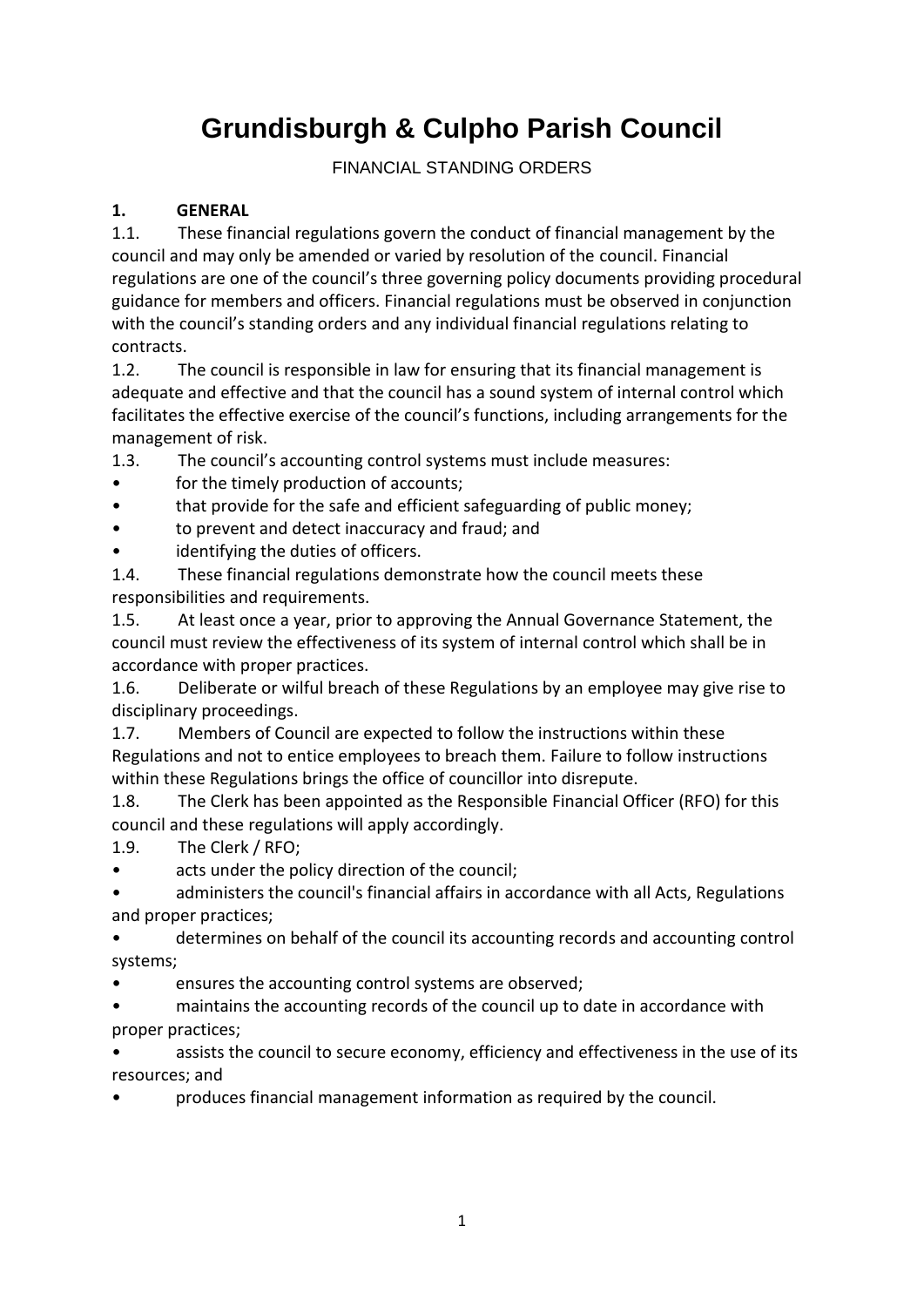# **Grundisburgh & Culpho Parish Council**

#### FINANCIAL STANDING ORDERS

#### **1. GENERAL**

1.1. These financial regulations govern the conduct of financial management by the council and may only be amended or varied by resolution of the council. Financial regulations are one of the council's three governing policy documents providing procedural guidance for members and officers. Financial regulations must be observed in conjunction with the council's standing orders and any individual financial regulations relating to contracts.

1.2. The council is responsible in law for ensuring that its financial management is adequate and effective and that the council has a sound system of internal control which facilitates the effective exercise of the council's functions, including arrangements for the management of risk.

1.3. The council's accounting control systems must include measures:

- for the timely production of accounts;
- that provide for the safe and efficient safeguarding of public money;
- to prevent and detect inaccuracy and fraud; and
- identifying the duties of officers.

1.4. These financial regulations demonstrate how the council meets these responsibilities and requirements.

1.5. At least once a year, prior to approving the Annual Governance Statement, the council must review the effectiveness of its system of internal control which shall be in accordance with proper practices.

1.6. Deliberate or wilful breach of these Regulations by an employee may give rise to disciplinary proceedings.

1.7. Members of Council are expected to follow the instructions within these Regulations and not to entice employees to breach them. Failure to follow instructions within these Regulations brings the office of councillor into disrepute.

1.8. The Clerk has been appointed as the Responsible Financial Officer (RFO) for this council and these regulations will apply accordingly.

1.9. The Clerk / RFO;

acts under the policy direction of the council;

• administers the council's financial affairs in accordance with all Acts, Regulations and proper practices;

• determines on behalf of the council its accounting records and accounting control systems;

ensures the accounting control systems are observed;

• maintains the accounting records of the council up to date in accordance with proper practices;

assists the council to secure economy, efficiency and effectiveness in the use of its resources; and

• produces financial management information as required by the council.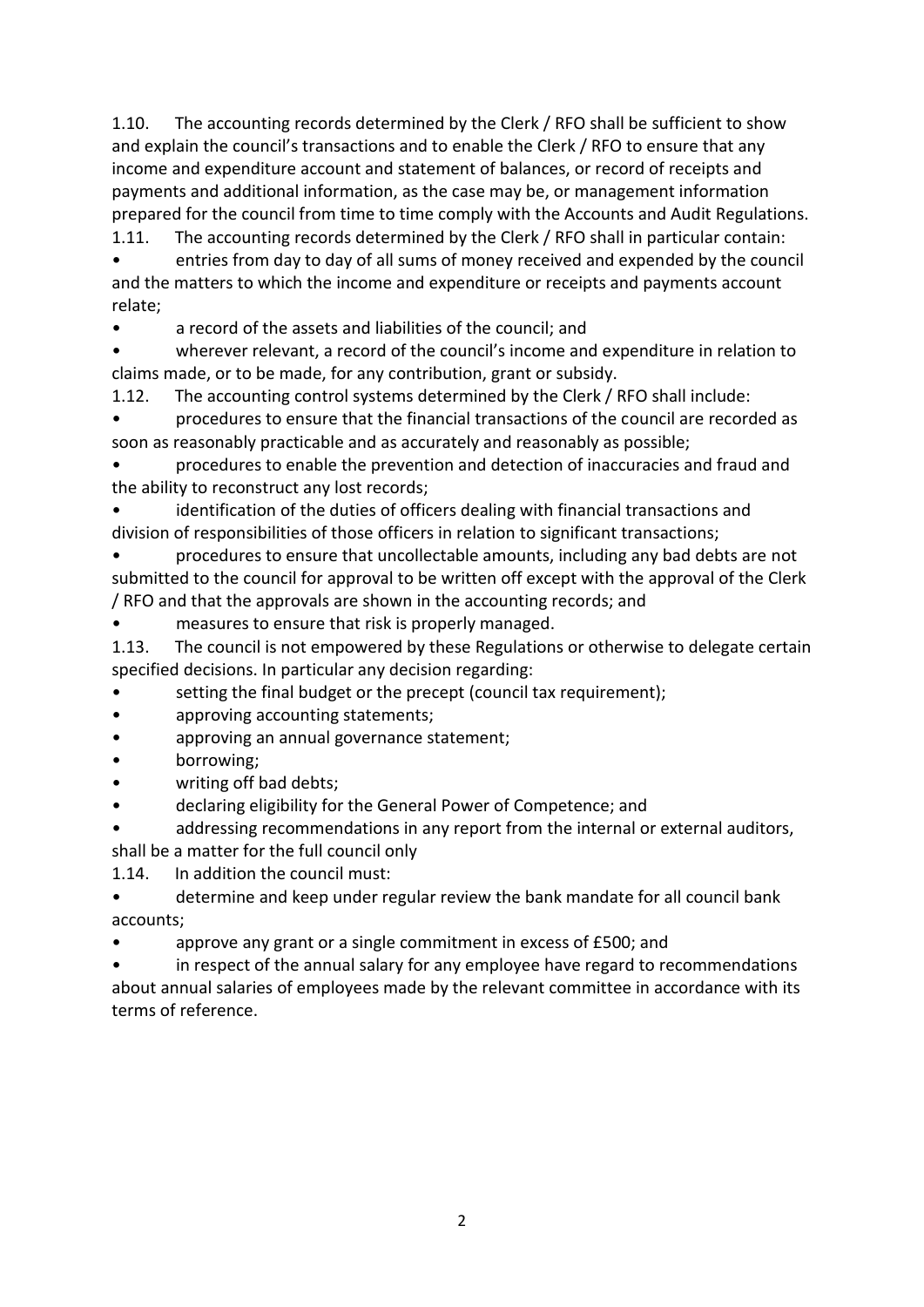1.10. The accounting records determined by the Clerk / RFO shall be sufficient to show and explain the council's transactions and to enable the Clerk / RFO to ensure that any income and expenditure account and statement of balances, or record of receipts and payments and additional information, as the case may be, or management information prepared for the council from time to time comply with the Accounts and Audit Regulations.

1.11. The accounting records determined by the Clerk / RFO shall in particular contain:

• entries from day to day of all sums of money received and expended by the council and the matters to which the income and expenditure or receipts and payments account relate;

• a record of the assets and liabilities of the council; and

• wherever relevant, a record of the council's income and expenditure in relation to claims made, or to be made, for any contribution, grant or subsidy.

1.12. The accounting control systems determined by the Clerk / RFO shall include:

• procedures to ensure that the financial transactions of the council are recorded as soon as reasonably practicable and as accurately and reasonably as possible;

• procedures to enable the prevention and detection of inaccuracies and fraud and the ability to reconstruct any lost records;

identification of the duties of officers dealing with financial transactions and division of responsibilities of those officers in relation to significant transactions;

• procedures to ensure that uncollectable amounts, including any bad debts are not submitted to the council for approval to be written off except with the approval of the Clerk / RFO and that the approvals are shown in the accounting records; and

• measures to ensure that risk is properly managed.

1.13. The council is not empowered by these Regulations or otherwise to delegate certain specified decisions. In particular any decision regarding:

• setting the final budget or the precept (council tax requirement);

- approving accounting statements;
- approving an annual governance statement;
- borrowing;
- writing off bad debts;

• declaring eligibility for the General Power of Competence; and

• addressing recommendations in any report from the internal or external auditors, shall be a matter for the full council only

1.14. In addition the council must:

• determine and keep under regular review the bank mandate for all council bank accounts;

approve any grant or a single commitment in excess of £500; and

in respect of the annual salary for any employee have regard to recommendations about annual salaries of employees made by the relevant committee in accordance with its terms of reference.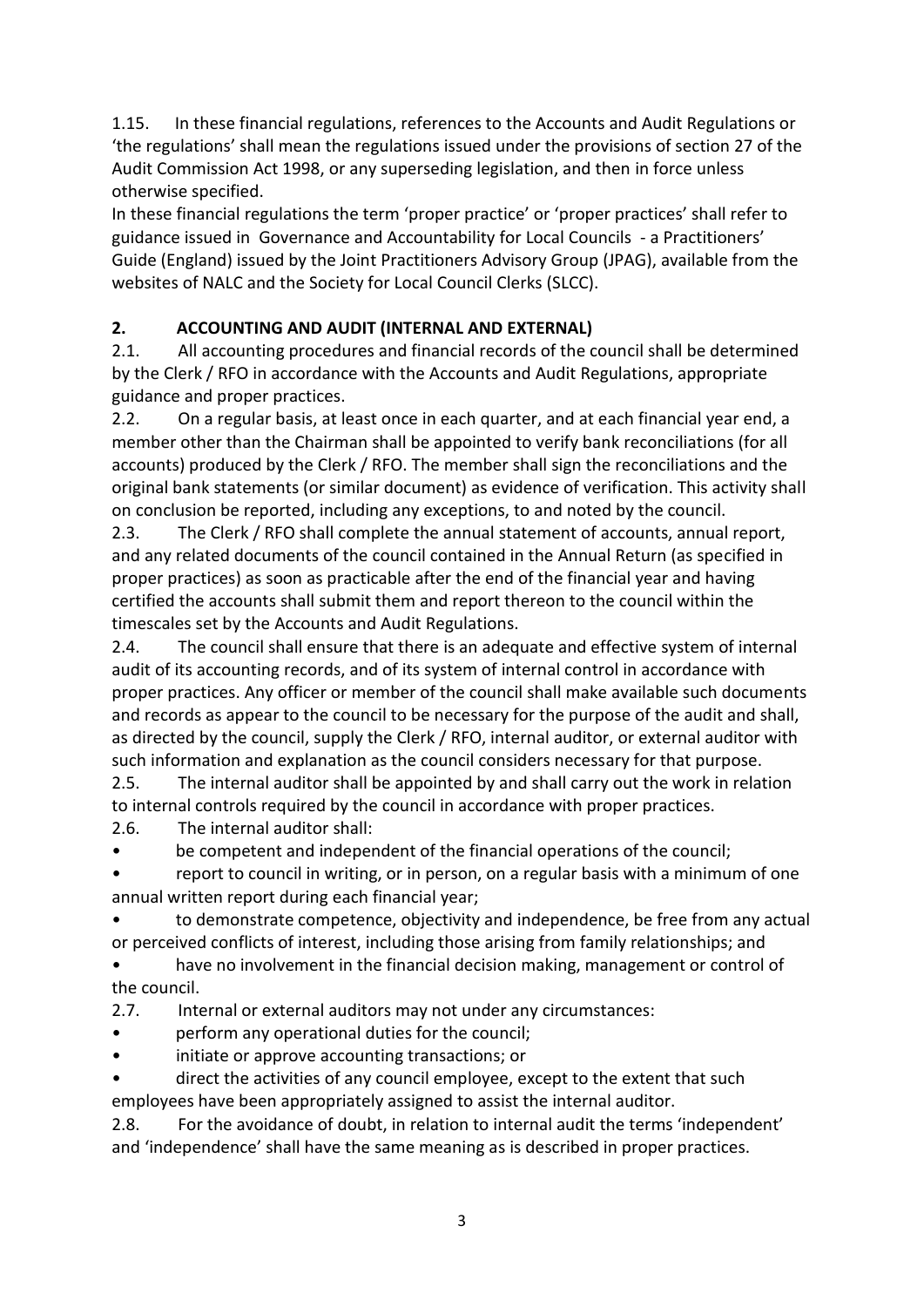1.15. In these financial regulations, references to the Accounts and Audit Regulations or 'the regulations' shall mean the regulations issued under the provisions of section 27 of the Audit Commission Act 1998, or any superseding legislation, and then in force unless otherwise specified.

In these financial regulations the term 'proper practice' or 'proper practices' shall refer to guidance issued in Governance and Accountability for Local Councils - a Practitioners' Guide (England) issued by the Joint Practitioners Advisory Group (JPAG), available from the websites of NALC and the Society for Local Council Clerks (SLCC).

# **2. ACCOUNTING AND AUDIT (INTERNAL AND EXTERNAL)**

2.1. All accounting procedures and financial records of the council shall be determined by the Clerk / RFO in accordance with the Accounts and Audit Regulations, appropriate guidance and proper practices.

2.2. On a regular basis, at least once in each quarter, and at each financial year end, a member other than the Chairman shall be appointed to verify bank reconciliations (for all accounts) produced by the Clerk / RFO. The member shall sign the reconciliations and the original bank statements (or similar document) as evidence of verification. This activity shall on conclusion be reported, including any exceptions, to and noted by the council.

2.3. The Clerk / RFO shall complete the annual statement of accounts, annual report, and any related documents of the council contained in the Annual Return (as specified in proper practices) as soon as practicable after the end of the financial year and having certified the accounts shall submit them and report thereon to the council within the timescales set by the Accounts and Audit Regulations.

2.4. The council shall ensure that there is an adequate and effective system of internal audit of its accounting records, and of its system of internal control in accordance with proper practices. Any officer or member of the council shall make available such documents and records as appear to the council to be necessary for the purpose of the audit and shall, as directed by the council, supply the Clerk / RFO, internal auditor, or external auditor with such information and explanation as the council considers necessary for that purpose.

2.5. The internal auditor shall be appointed by and shall carry out the work in relation to internal controls required by the council in accordance with proper practices.

2.6. The internal auditor shall:

be competent and independent of the financial operations of the council;

report to council in writing, or in person, on a regular basis with a minimum of one annual written report during each financial year;

• to demonstrate competence, objectivity and independence, be free from any actual or perceived conflicts of interest, including those arising from family relationships; and

have no involvement in the financial decision making, management or control of the council.

2.7. Internal or external auditors may not under any circumstances:

- perform any operational duties for the council;
- initiate or approve accounting transactions; or
- direct the activities of any council employee, except to the extent that such employees have been appropriately assigned to assist the internal auditor.

2.8. For the avoidance of doubt, in relation to internal audit the terms 'independent' and 'independence' shall have the same meaning as is described in proper practices.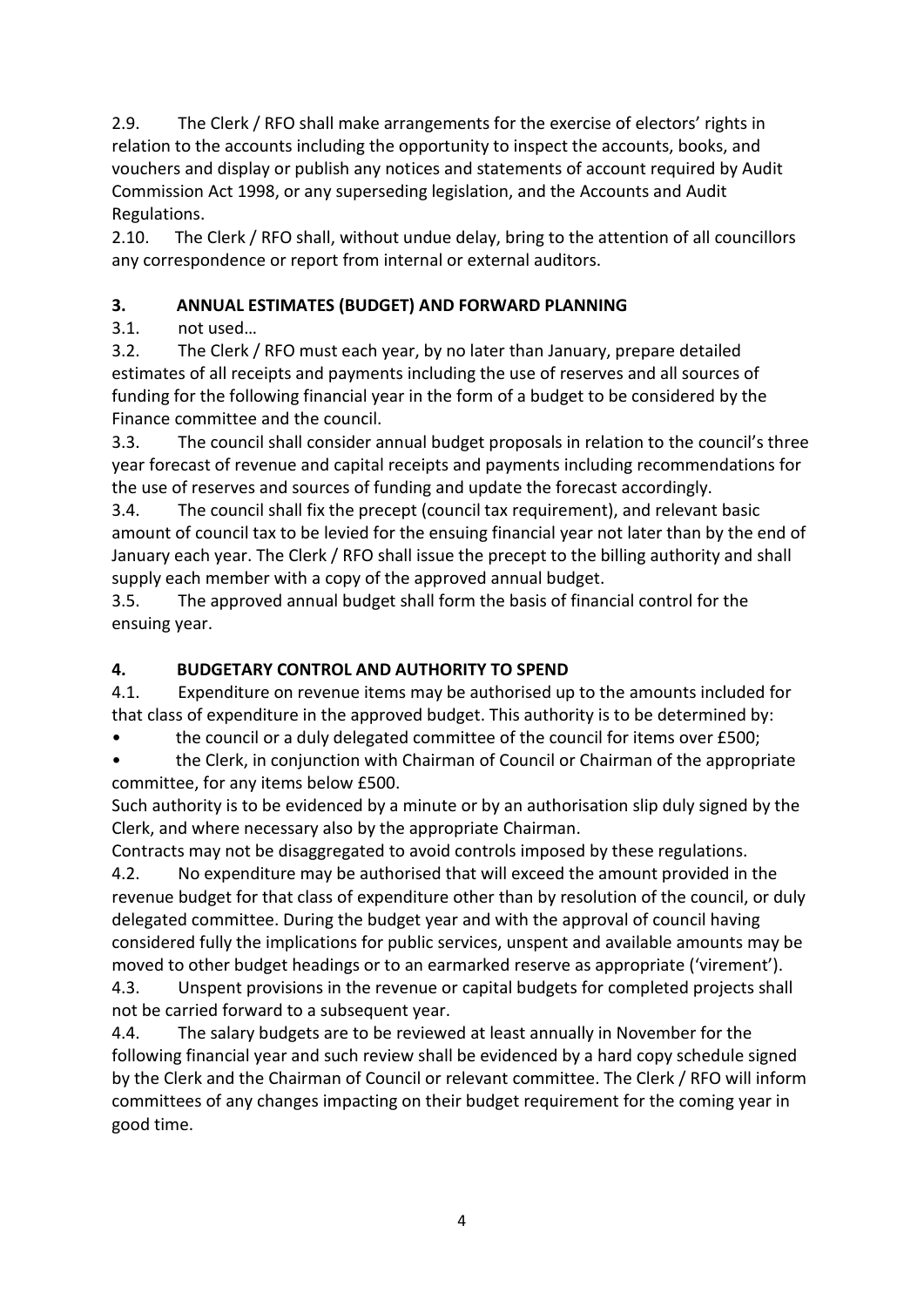2.9. The Clerk / RFO shall make arrangements for the exercise of electors' rights in relation to the accounts including the opportunity to inspect the accounts, books, and vouchers and display or publish any notices and statements of account required by Audit Commission Act 1998, or any superseding legislation, and the Accounts and Audit Regulations.

2.10. The Clerk / RFO shall, without undue delay, bring to the attention of all councillors any correspondence or report from internal or external auditors.

# **3. ANNUAL ESTIMATES (BUDGET) AND FORWARD PLANNING**

3.1. not used…

3.2. The Clerk / RFO must each year, by no later than January, prepare detailed estimates of all receipts and payments including the use of reserves and all sources of funding for the following financial year in the form of a budget to be considered by the Finance committee and the council.

3.3. The council shall consider annual budget proposals in relation to the council's three year forecast of revenue and capital receipts and payments including recommendations for the use of reserves and sources of funding and update the forecast accordingly.

3.4. The council shall fix the precept (council tax requirement), and relevant basic amount of council tax to be levied for the ensuing financial year not later than by the end of January each year. The Clerk / RFO shall issue the precept to the billing authority and shall supply each member with a copy of the approved annual budget.

3.5. The approved annual budget shall form the basis of financial control for the ensuing year.

# **4. BUDGETARY CONTROL AND AUTHORITY TO SPEND**

4.1. Expenditure on revenue items may be authorised up to the amounts included for that class of expenditure in the approved budget. This authority is to be determined by:

• the council or a duly delegated committee of the council for items over £500;

• the Clerk, in conjunction with Chairman of Council or Chairman of the appropriate committee, for any items below £500.

Such authority is to be evidenced by a minute or by an authorisation slip duly signed by the Clerk, and where necessary also by the appropriate Chairman.

Contracts may not be disaggregated to avoid controls imposed by these regulations.

4.2. No expenditure may be authorised that will exceed the amount provided in the revenue budget for that class of expenditure other than by resolution of the council, or duly delegated committee. During the budget year and with the approval of council having considered fully the implications for public services, unspent and available amounts may be moved to other budget headings or to an earmarked reserve as appropriate ('virement').

4.3. Unspent provisions in the revenue or capital budgets for completed projects shall not be carried forward to a subsequent year.

4.4. The salary budgets are to be reviewed at least annually in November for the following financial year and such review shall be evidenced by a hard copy schedule signed by the Clerk and the Chairman of Council or relevant committee. The Clerk / RFO will inform committees of any changes impacting on their budget requirement for the coming year in good time.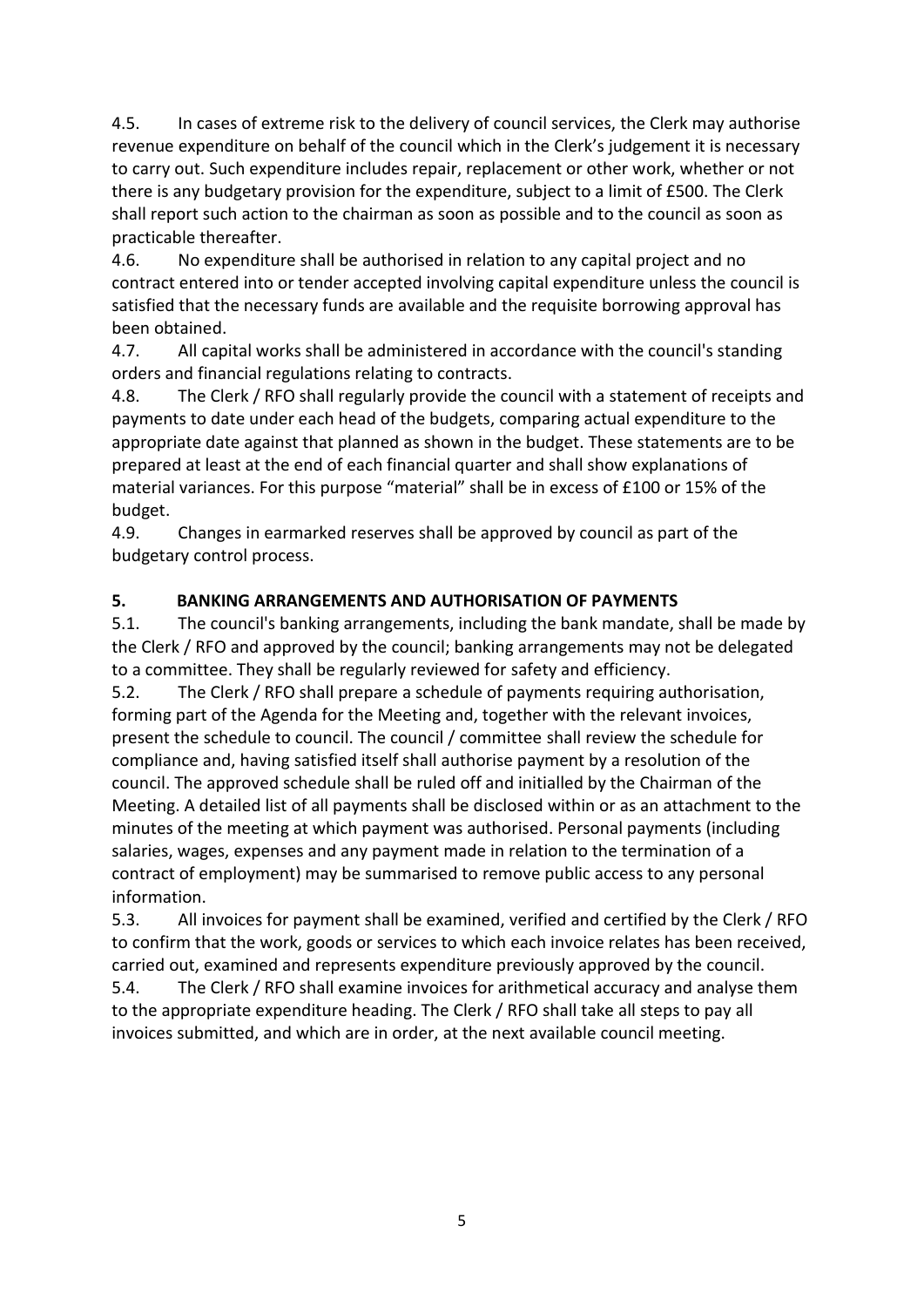4.5. In cases of extreme risk to the delivery of council services, the Clerk may authorise revenue expenditure on behalf of the council which in the Clerk's judgement it is necessary to carry out. Such expenditure includes repair, replacement or other work, whether or not there is any budgetary provision for the expenditure, subject to a limit of £500. The Clerk shall report such action to the chairman as soon as possible and to the council as soon as practicable thereafter.

4.6. No expenditure shall be authorised in relation to any capital project and no contract entered into or tender accepted involving capital expenditure unless the council is satisfied that the necessary funds are available and the requisite borrowing approval has been obtained.

4.7. All capital works shall be administered in accordance with the council's standing orders and financial regulations relating to contracts.

4.8. The Clerk / RFO shall regularly provide the council with a statement of receipts and payments to date under each head of the budgets, comparing actual expenditure to the appropriate date against that planned as shown in the budget. These statements are to be prepared at least at the end of each financial quarter and shall show explanations of material variances. For this purpose "material" shall be in excess of £100 or 15% of the budget.

4.9. Changes in earmarked reserves shall be approved by council as part of the budgetary control process.

#### **5. BANKING ARRANGEMENTS AND AUTHORISATION OF PAYMENTS**

5.1. The council's banking arrangements, including the bank mandate, shall be made by the Clerk / RFO and approved by the council; banking arrangements may not be delegated to a committee. They shall be regularly reviewed for safety and efficiency.

5.2. The Clerk / RFO shall prepare a schedule of payments requiring authorisation, forming part of the Agenda for the Meeting and, together with the relevant invoices, present the schedule to council. The council / committee shall review the schedule for compliance and, having satisfied itself shall authorise payment by a resolution of the council. The approved schedule shall be ruled off and initialled by the Chairman of the Meeting. A detailed list of all payments shall be disclosed within or as an attachment to the minutes of the meeting at which payment was authorised. Personal payments (including salaries, wages, expenses and any payment made in relation to the termination of a contract of employment) may be summarised to remove public access to any personal information.

5.3. All invoices for payment shall be examined, verified and certified by the Clerk / RFO to confirm that the work, goods or services to which each invoice relates has been received, carried out, examined and represents expenditure previously approved by the council.

5.4. The Clerk / RFO shall examine invoices for arithmetical accuracy and analyse them to the appropriate expenditure heading. The Clerk / RFO shall take all steps to pay all invoices submitted, and which are in order, at the next available council meeting.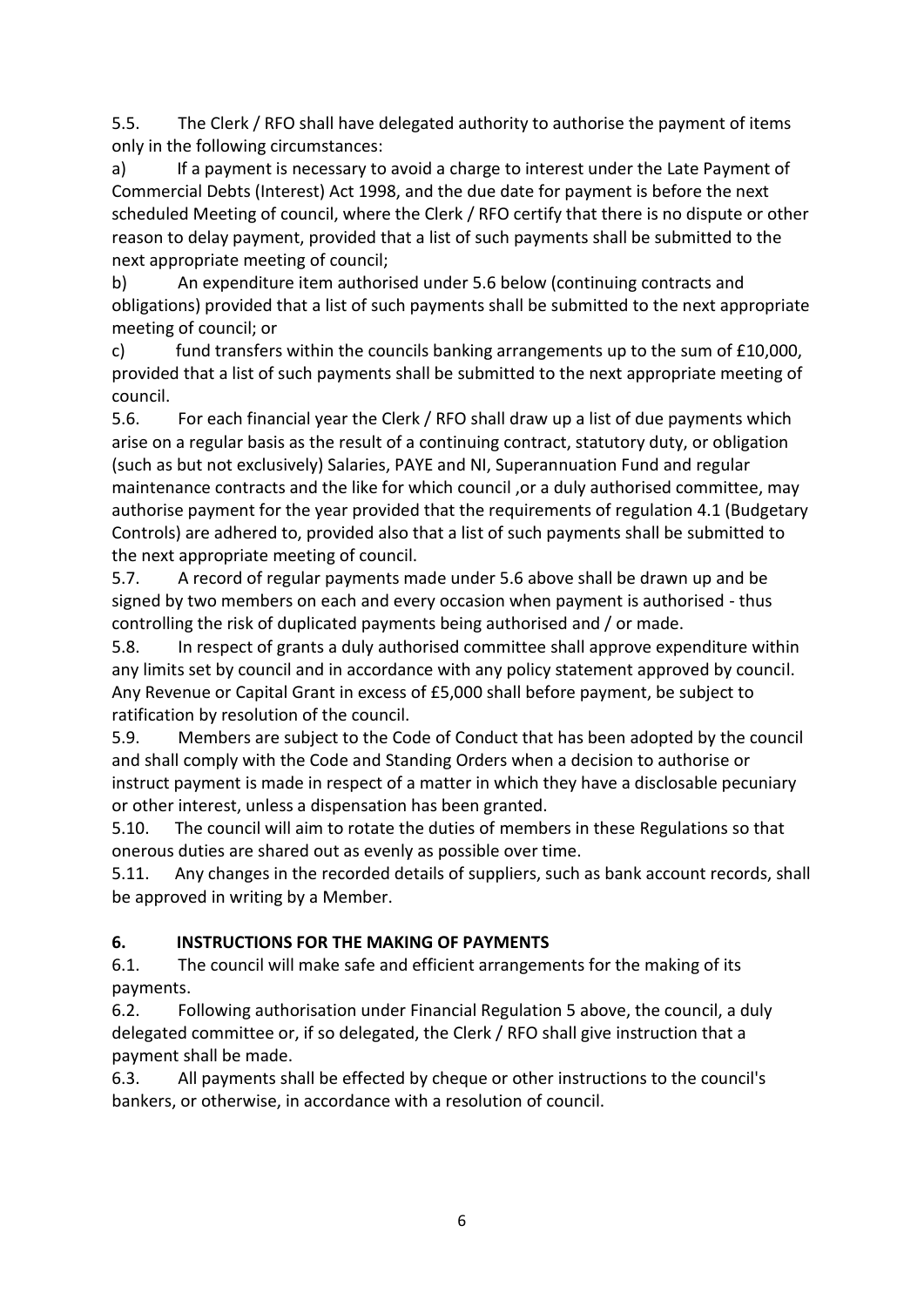5.5. The Clerk / RFO shall have delegated authority to authorise the payment of items only in the following circumstances:

a) If a payment is necessary to avoid a charge to interest under the Late Payment of Commercial Debts (Interest) Act 1998, and the due date for payment is before the next scheduled Meeting of council, where the Clerk / RFO certify that there is no dispute or other reason to delay payment, provided that a list of such payments shall be submitted to the next appropriate meeting of council;

b) An expenditure item authorised under 5.6 below (continuing contracts and obligations) provided that a list of such payments shall be submitted to the next appropriate meeting of council; or

c) fund transfers within the councils banking arrangements up to the sum of  $£10,000$ , provided that a list of such payments shall be submitted to the next appropriate meeting of council.

5.6. For each financial year the Clerk / RFO shall draw up a list of due payments which arise on a regular basis as the result of a continuing contract, statutory duty, or obligation (such as but not exclusively) Salaries, PAYE and NI, Superannuation Fund and regular maintenance contracts and the like for which council ,or a duly authorised committee, may authorise payment for the year provided that the requirements of regulation 4.1 (Budgetary Controls) are adhered to, provided also that a list of such payments shall be submitted to the next appropriate meeting of council.

5.7. A record of regular payments made under 5.6 above shall be drawn up and be signed by two members on each and every occasion when payment is authorised - thus controlling the risk of duplicated payments being authorised and / or made.

5.8. In respect of grants a duly authorised committee shall approve expenditure within any limits set by council and in accordance with any policy statement approved by council. Any Revenue or Capital Grant in excess of £5,000 shall before payment, be subject to ratification by resolution of the council.

5.9. Members are subject to the Code of Conduct that has been adopted by the council and shall comply with the Code and Standing Orders when a decision to authorise or instruct payment is made in respect of a matter in which they have a disclosable pecuniary or other interest, unless a dispensation has been granted.

5.10. The council will aim to rotate the duties of members in these Regulations so that onerous duties are shared out as evenly as possible over time.

5.11. Any changes in the recorded details of suppliers, such as bank account records, shall be approved in writing by a Member.

# **6. INSTRUCTIONS FOR THE MAKING OF PAYMENTS**

6.1. The council will make safe and efficient arrangements for the making of its payments.

6.2. Following authorisation under Financial Regulation 5 above, the council, a duly delegated committee or, if so delegated, the Clerk / RFO shall give instruction that a payment shall be made.

6.3. All payments shall be effected by cheque or other instructions to the council's bankers, or otherwise, in accordance with a resolution of council.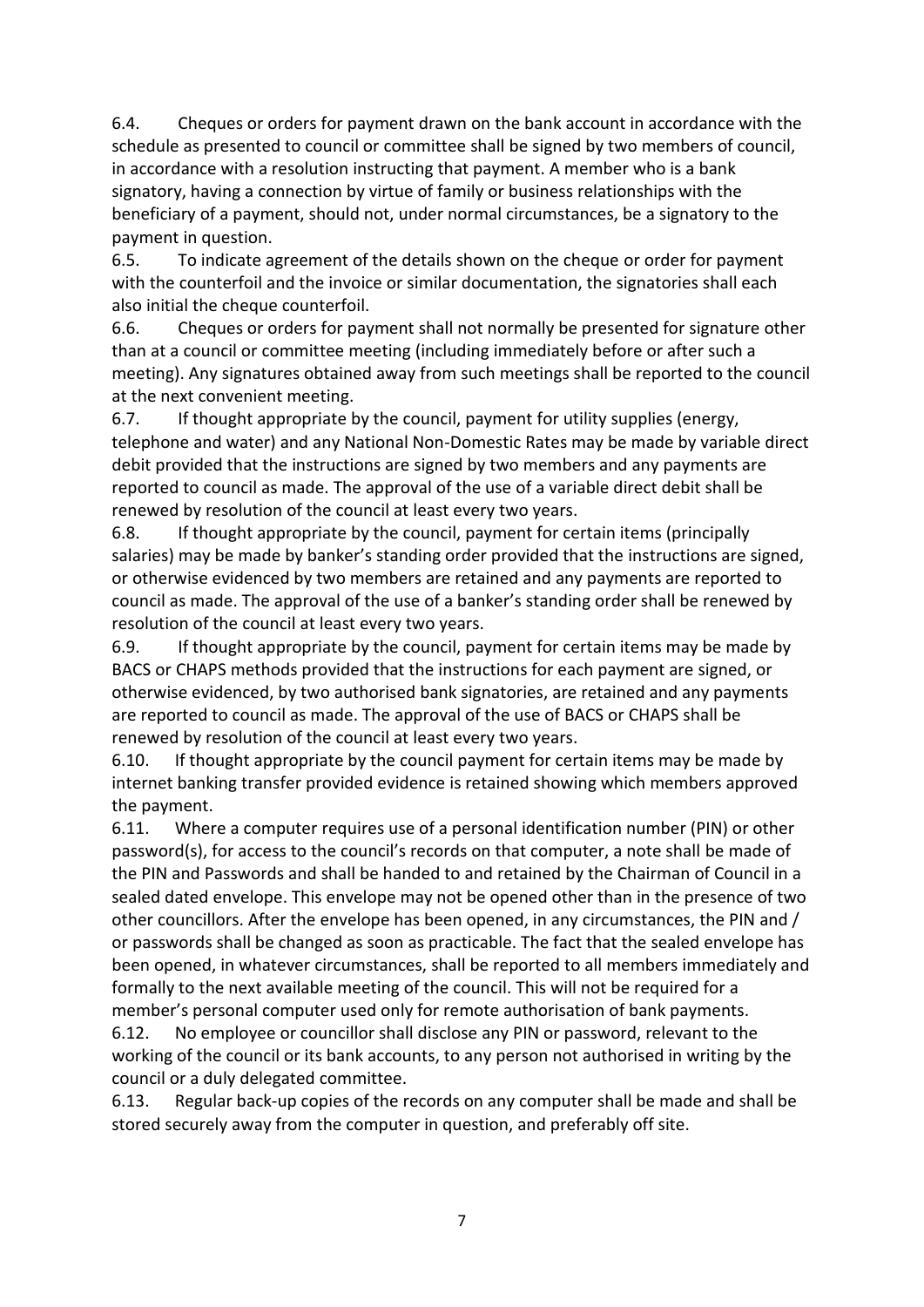6.4. Cheques or orders for payment drawn on the bank account in accordance with the schedule as presented to council or committee shall be signed by two members of council, in accordance with a resolution instructing that payment. A member who is a bank signatory, having a connection by virtue of family or business relationships with the beneficiary of a payment, should not, under normal circumstances, be a signatory to the payment in question.

6.5. To indicate agreement of the details shown on the cheque or order for payment with the counterfoil and the invoice or similar documentation, the signatories shall each also initial the cheque counterfoil.

6.6. Cheques or orders for payment shall not normally be presented for signature other than at a council or committee meeting (including immediately before or after such a meeting). Any signatures obtained away from such meetings shall be reported to the council at the next convenient meeting.

6.7. If thought appropriate by the council, payment for utility supplies (energy, telephone and water) and any National Non-Domestic Rates may be made by variable direct debit provided that the instructions are signed by two members and any payments are reported to council as made. The approval of the use of a variable direct debit shall be renewed by resolution of the council at least every two years.

6.8. If thought appropriate by the council, payment for certain items (principally salaries) may be made by banker's standing order provided that the instructions are signed, or otherwise evidenced by two members are retained and any payments are reported to council as made. The approval of the use of a banker's standing order shall be renewed by resolution of the council at least every two years.

6.9. If thought appropriate by the council, payment for certain items may be made by BACS or CHAPS methods provided that the instructions for each payment are signed, or otherwise evidenced, by two authorised bank signatories, are retained and any payments are reported to council as made. The approval of the use of BACS or CHAPS shall be renewed by resolution of the council at least every two years.

6.10. If thought appropriate by the council payment for certain items may be made by internet banking transfer provided evidence is retained showing which members approved the payment.

6.11. Where a computer requires use of a personal identification number (PIN) or other password(s), for access to the council's records on that computer, a note shall be made of the PIN and Passwords and shall be handed to and retained by the Chairman of Council in a sealed dated envelope. This envelope may not be opened other than in the presence of two other councillors. After the envelope has been opened, in any circumstances, the PIN and / or passwords shall be changed as soon as practicable. The fact that the sealed envelope has been opened, in whatever circumstances, shall be reported to all members immediately and formally to the next available meeting of the council. This will not be required for a member's personal computer used only for remote authorisation of bank payments.

6.12. No employee or councillor shall disclose any PIN or password, relevant to the working of the council or its bank accounts, to any person not authorised in writing by the council or a duly delegated committee.

6.13. Regular back-up copies of the records on any computer shall be made and shall be stored securely away from the computer in question, and preferably off site.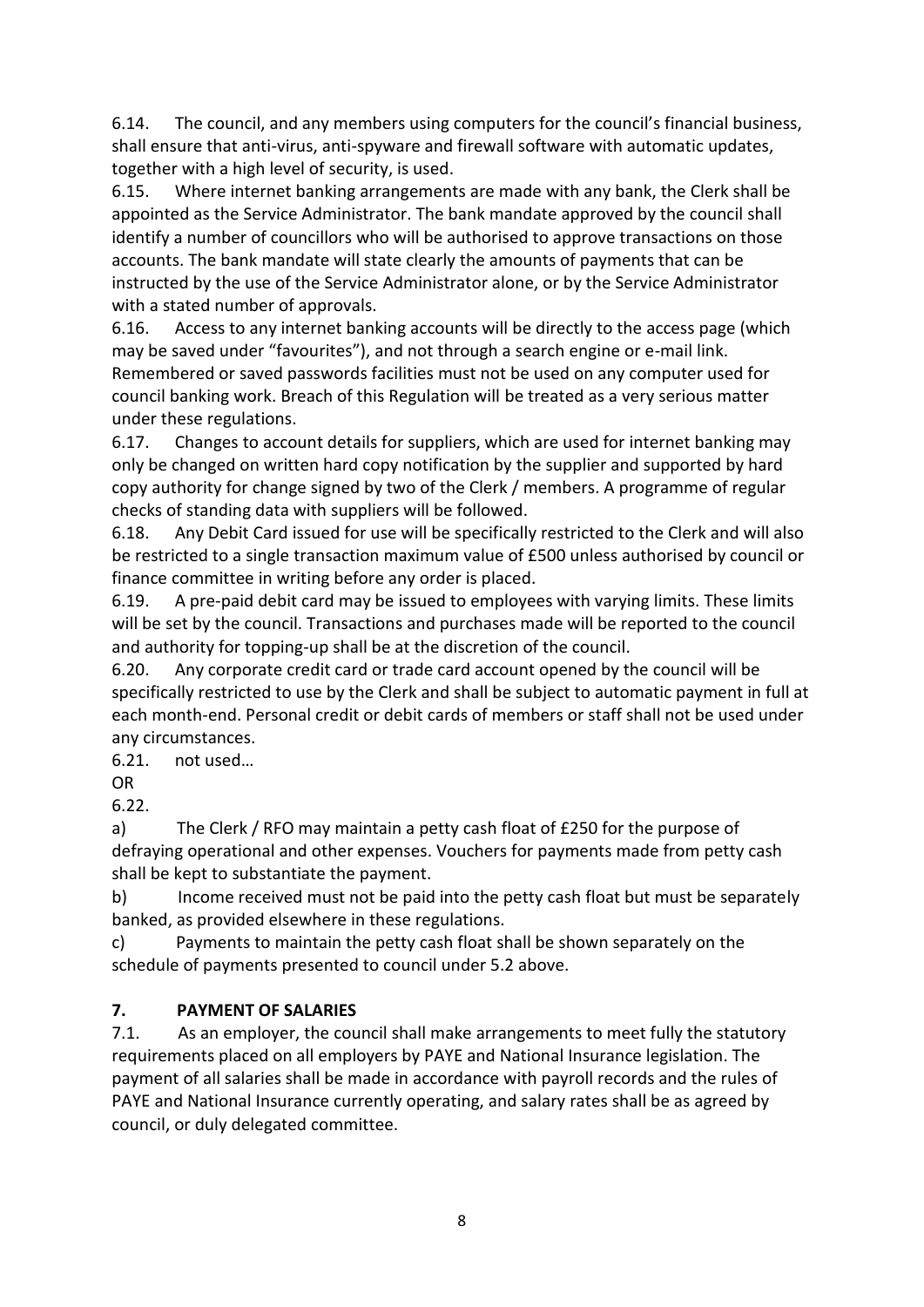6.14. The council, and any members using computers for the council's financial business, shall ensure that anti-virus, anti-spyware and firewall software with automatic updates, together with a high level of security, is used.

6.15. Where internet banking arrangements are made with any bank, the Clerk shall be appointed as the Service Administrator. The bank mandate approved by the council shall identify a number of councillors who will be authorised to approve transactions on those accounts. The bank mandate will state clearly the amounts of payments that can be instructed by the use of the Service Administrator alone, or by the Service Administrator with a stated number of approvals.

6.16. Access to any internet banking accounts will be directly to the access page (which may be saved under "favourites"), and not through a search engine or e-mail link. Remembered or saved passwords facilities must not be used on any computer used for council banking work. Breach of this Regulation will be treated as a very serious matter under these regulations.

6.17. Changes to account details for suppliers, which are used for internet banking may only be changed on written hard copy notification by the supplier and supported by hard copy authority for change signed by two of the Clerk / members. A programme of regular checks of standing data with suppliers will be followed.

6.18. Any Debit Card issued for use will be specifically restricted to the Clerk and will also be restricted to a single transaction maximum value of £500 unless authorised by council or finance committee in writing before any order is placed.

6.19. A pre-paid debit card may be issued to employees with varying limits. These limits will be set by the council. Transactions and purchases made will be reported to the council and authority for topping-up shall be at the discretion of the council.

6.20. Any corporate credit card or trade card account opened by the council will be specifically restricted to use by the Clerk and shall be subject to automatic payment in full at each month-end. Personal credit or debit cards of members or staff shall not be used under any circumstances.

6.21. not used…

OR

6.22.

a) The Clerk / RFO may maintain a petty cash float of £250 for the purpose of defraying operational and other expenses. Vouchers for payments made from petty cash shall be kept to substantiate the payment.

b) Income received must not be paid into the petty cash float but must be separately banked, as provided elsewhere in these regulations.

c) Payments to maintain the petty cash float shall be shown separately on the schedule of payments presented to council under 5.2 above.

# **7. PAYMENT OF SALARIES**

7.1. As an employer, the council shall make arrangements to meet fully the statutory requirements placed on all employers by PAYE and National Insurance legislation. The payment of all salaries shall be made in accordance with payroll records and the rules of PAYE and National Insurance currently operating, and salary rates shall be as agreed by council, or duly delegated committee.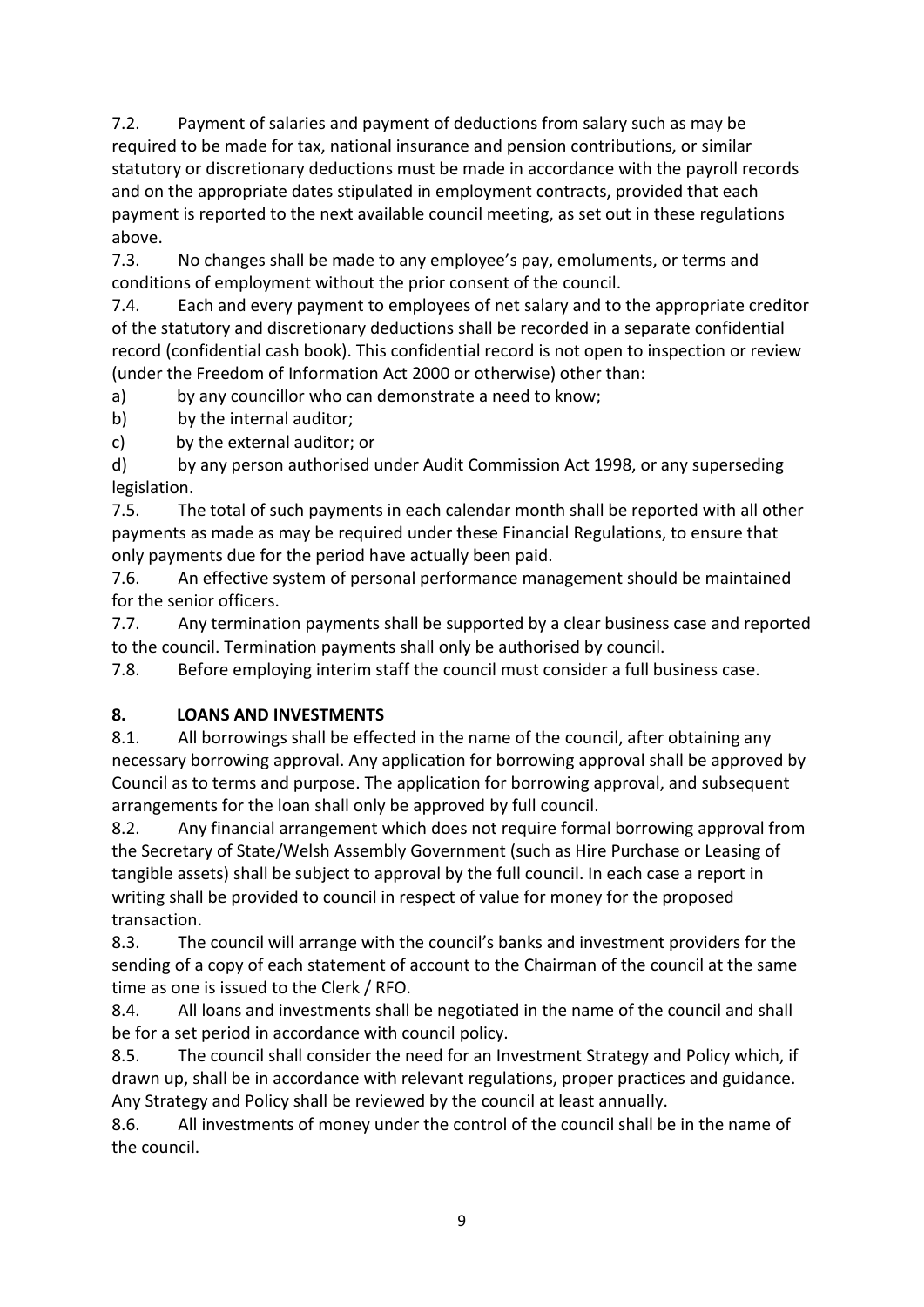7.2. Payment of salaries and payment of deductions from salary such as may be required to be made for tax, national insurance and pension contributions, or similar statutory or discretionary deductions must be made in accordance with the payroll records and on the appropriate dates stipulated in employment contracts, provided that each payment is reported to the next available council meeting, as set out in these regulations above.

7.3. No changes shall be made to any employee's pay, emoluments, or terms and conditions of employment without the prior consent of the council.

7.4. Each and every payment to employees of net salary and to the appropriate creditor of the statutory and discretionary deductions shall be recorded in a separate confidential record (confidential cash book). This confidential record is not open to inspection or review (under the Freedom of Information Act 2000 or otherwise) other than:

a) by any councillor who can demonstrate a need to know;

b) by the internal auditor;

c) by the external auditor; or

d) by any person authorised under Audit Commission Act 1998, or any superseding legislation.

7.5. The total of such payments in each calendar month shall be reported with all other payments as made as may be required under these Financial Regulations, to ensure that only payments due for the period have actually been paid.

7.6. An effective system of personal performance management should be maintained for the senior officers.

7.7. Any termination payments shall be supported by a clear business case and reported to the council. Termination payments shall only be authorised by council.

7.8. Before employing interim staff the council must consider a full business case.

#### **8. LOANS AND INVESTMENTS**

8.1. All borrowings shall be effected in the name of the council, after obtaining any necessary borrowing approval. Any application for borrowing approval shall be approved by Council as to terms and purpose. The application for borrowing approval, and subsequent arrangements for the loan shall only be approved by full council.

8.2. Any financial arrangement which does not require formal borrowing approval from the Secretary of State/Welsh Assembly Government (such as Hire Purchase or Leasing of tangible assets) shall be subject to approval by the full council. In each case a report in writing shall be provided to council in respect of value for money for the proposed transaction.

8.3. The council will arrange with the council's banks and investment providers for the sending of a copy of each statement of account to the Chairman of the council at the same time as one is issued to the Clerk / RFO.

8.4. All loans and investments shall be negotiated in the name of the council and shall be for a set period in accordance with council policy.

8.5. The council shall consider the need for an Investment Strategy and Policy which, if drawn up, shall be in accordance with relevant regulations, proper practices and guidance. Any Strategy and Policy shall be reviewed by the council at least annually.

8.6. All investments of money under the control of the council shall be in the name of the council.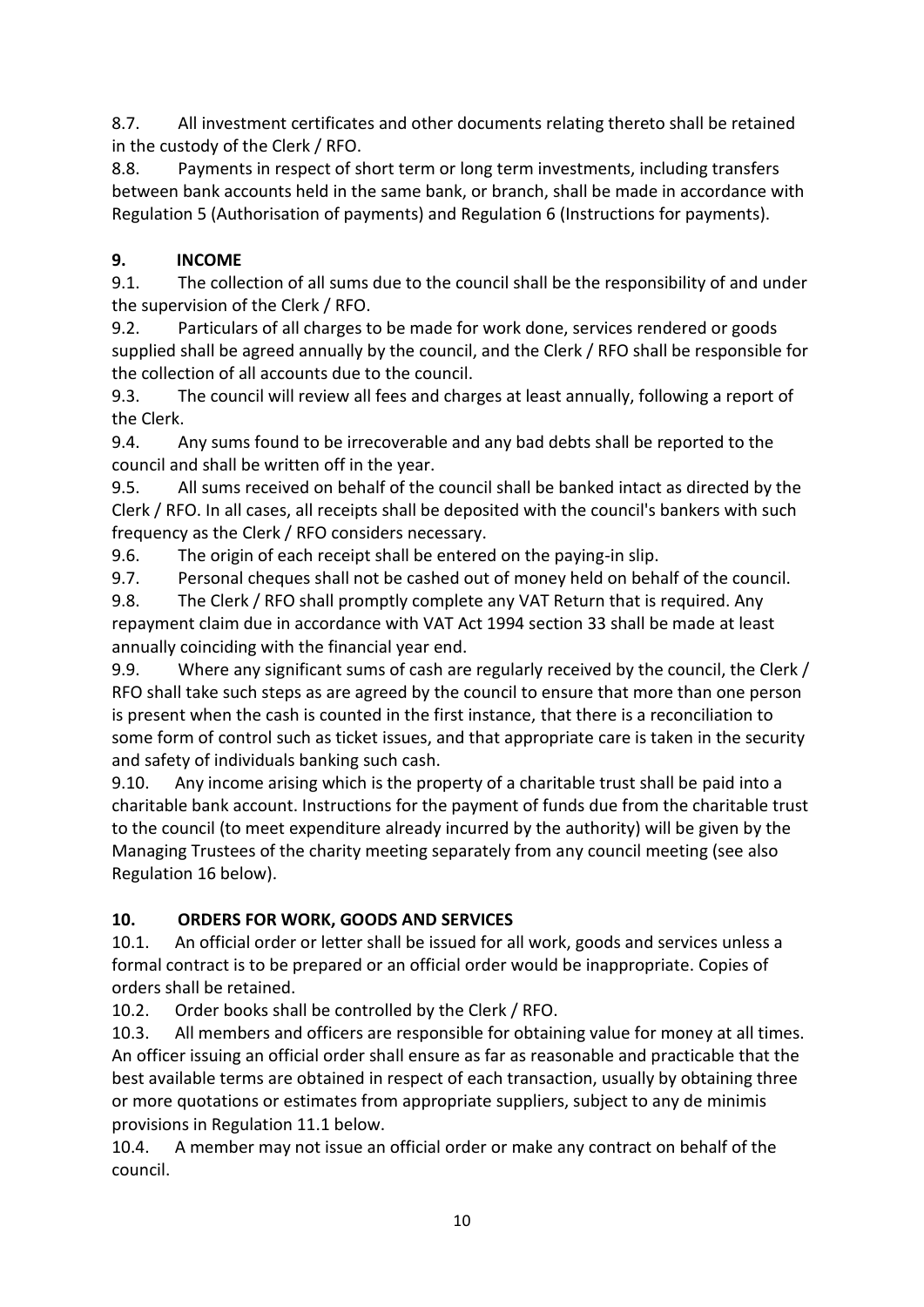8.7. All investment certificates and other documents relating thereto shall be retained in the custody of the Clerk / RFO.

8.8. Payments in respect of short term or long term investments, including transfers between bank accounts held in the same bank, or branch, shall be made in accordance with Regulation 5 (Authorisation of payments) and Regulation 6 (Instructions for payments).

# **9. INCOME**

9.1. The collection of all sums due to the council shall be the responsibility of and under the supervision of the Clerk / RFO.

9.2. Particulars of all charges to be made for work done, services rendered or goods supplied shall be agreed annually by the council, and the Clerk / RFO shall be responsible for the collection of all accounts due to the council.

9.3. The council will review all fees and charges at least annually, following a report of the Clerk.

9.4. Any sums found to be irrecoverable and any bad debts shall be reported to the council and shall be written off in the year.

9.5. All sums received on behalf of the council shall be banked intact as directed by the Clerk / RFO. In all cases, all receipts shall be deposited with the council's bankers with such frequency as the Clerk / RFO considers necessary.

9.6. The origin of each receipt shall be entered on the paying-in slip.

9.7. Personal cheques shall not be cashed out of money held on behalf of the council.

9.8. The Clerk / RFO shall promptly complete any VAT Return that is required. Any repayment claim due in accordance with VAT Act 1994 section 33 shall be made at least annually coinciding with the financial year end.

9.9. Where any significant sums of cash are regularly received by the council, the Clerk / RFO shall take such steps as are agreed by the council to ensure that more than one person is present when the cash is counted in the first instance, that there is a reconciliation to some form of control such as ticket issues, and that appropriate care is taken in the security and safety of individuals banking such cash.

9.10. Any income arising which is the property of a charitable trust shall be paid into a charitable bank account. Instructions for the payment of funds due from the charitable trust to the council (to meet expenditure already incurred by the authority) will be given by the Managing Trustees of the charity meeting separately from any council meeting (see also Regulation 16 below).

# **10. ORDERS FOR WORK, GOODS AND SERVICES**

10.1. An official order or letter shall be issued for all work, goods and services unless a formal contract is to be prepared or an official order would be inappropriate. Copies of orders shall be retained.

10.2. Order books shall be controlled by the Clerk / RFO.

10.3. All members and officers are responsible for obtaining value for money at all times. An officer issuing an official order shall ensure as far as reasonable and practicable that the best available terms are obtained in respect of each transaction, usually by obtaining three or more quotations or estimates from appropriate suppliers, subject to any de minimis provisions in Regulation 11.1 below.

10.4. A member may not issue an official order or make any contract on behalf of the council.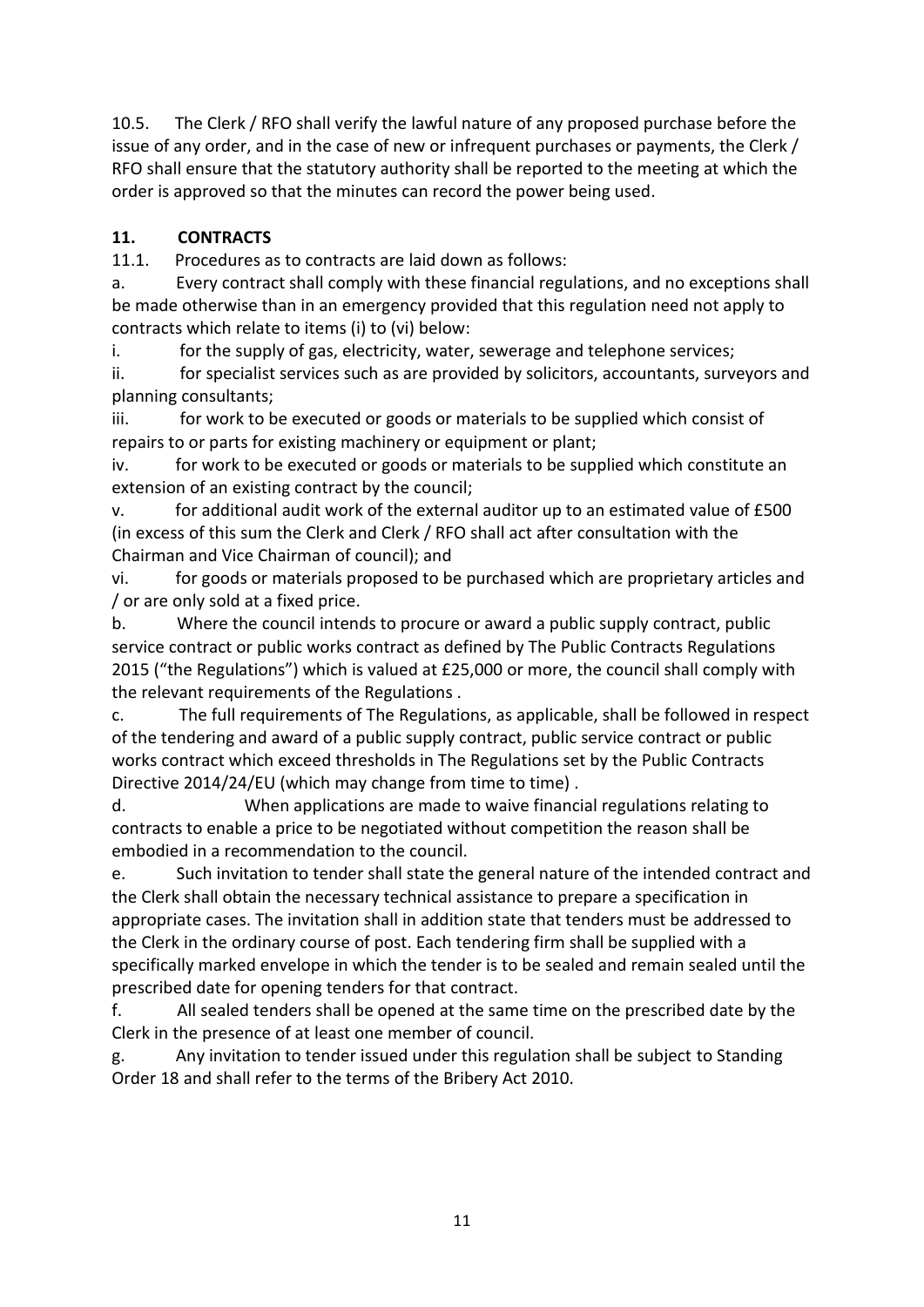10.5. The Clerk / RFO shall verify the lawful nature of any proposed purchase before the issue of any order, and in the case of new or infrequent purchases or payments, the Clerk / RFO shall ensure that the statutory authority shall be reported to the meeting at which the order is approved so that the minutes can record the power being used.

#### **11. CONTRACTS**

11.1. Procedures as to contracts are laid down as follows:

a. Every contract shall comply with these financial regulations, and no exceptions shall be made otherwise than in an emergency provided that this regulation need not apply to contracts which relate to items (i) to (vi) below:

i. for the supply of gas, electricity, water, sewerage and telephone services;

ii. for specialist services such as are provided by solicitors, accountants, surveyors and planning consultants;

iii. for work to be executed or goods or materials to be supplied which consist of repairs to or parts for existing machinery or equipment or plant;

iv. for work to be executed or goods or materials to be supplied which constitute an extension of an existing contract by the council;

v. for additional audit work of the external auditor up to an estimated value of £500 (in excess of this sum the Clerk and Clerk / RFO shall act after consultation with the Chairman and Vice Chairman of council); and

vi. for goods or materials proposed to be purchased which are proprietary articles and / or are only sold at a fixed price.

b. Where the council intends to procure or award a public supply contract, public service contract or public works contract as defined by The Public Contracts Regulations 2015 ("the Regulations") which is valued at £25,000 or more, the council shall comply with the relevant requirements of the Regulations .

c. The full requirements of The Regulations, as applicable, shall be followed in respect of the tendering and award of a public supply contract, public service contract or public works contract which exceed thresholds in The Regulations set by the Public Contracts Directive 2014/24/EU (which may change from time to time).

d. When applications are made to waive financial regulations relating to contracts to enable a price to be negotiated without competition the reason shall be embodied in a recommendation to the council.

e. Such invitation to tender shall state the general nature of the intended contract and the Clerk shall obtain the necessary technical assistance to prepare a specification in appropriate cases. The invitation shall in addition state that tenders must be addressed to the Clerk in the ordinary course of post. Each tendering firm shall be supplied with a specifically marked envelope in which the tender is to be sealed and remain sealed until the prescribed date for opening tenders for that contract.

f. All sealed tenders shall be opened at the same time on the prescribed date by the Clerk in the presence of at least one member of council.

g. Any invitation to tender issued under this regulation shall be subject to Standing Order 18 and shall refer to the terms of the Bribery Act 2010.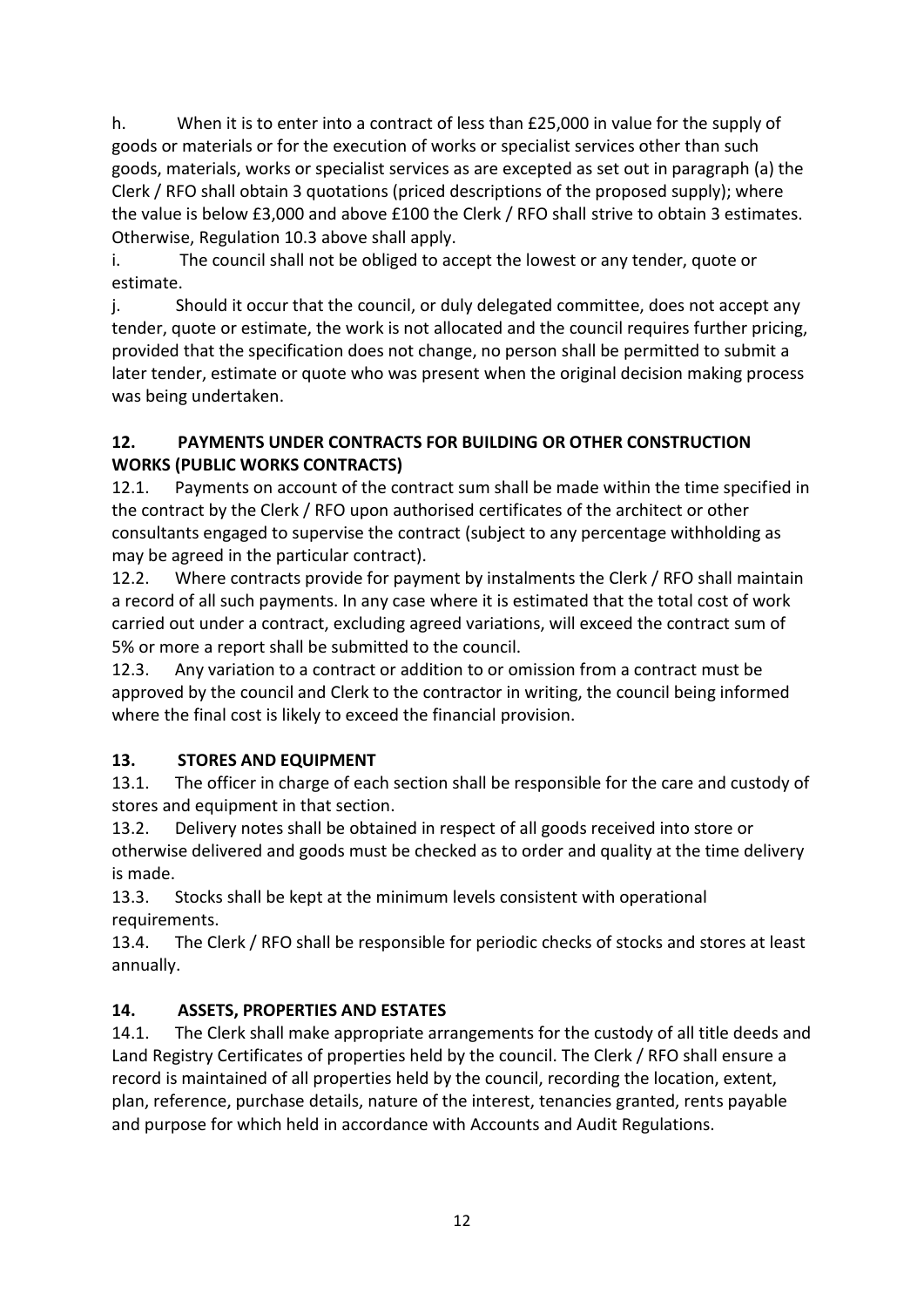h. When it is to enter into a contract of less than £25,000 in value for the supply of goods or materials or for the execution of works or specialist services other than such goods, materials, works or specialist services as are excepted as set out in paragraph (a) the Clerk / RFO shall obtain 3 quotations (priced descriptions of the proposed supply); where the value is below £3,000 and above £100 the Clerk / RFO shall strive to obtain 3 estimates. Otherwise, Regulation 10.3 above shall apply.

i. The council shall not be obliged to accept the lowest or any tender, quote or estimate.

j. Should it occur that the council, or duly delegated committee, does not accept any tender, quote or estimate, the work is not allocated and the council requires further pricing, provided that the specification does not change, no person shall be permitted to submit a later tender, estimate or quote who was present when the original decision making process was being undertaken.

#### **12. PAYMENTS UNDER CONTRACTS FOR BUILDING OR OTHER CONSTRUCTION WORKS (PUBLIC WORKS CONTRACTS)**

12.1. Payments on account of the contract sum shall be made within the time specified in the contract by the Clerk / RFO upon authorised certificates of the architect or other consultants engaged to supervise the contract (subject to any percentage withholding as may be agreed in the particular contract).

12.2. Where contracts provide for payment by instalments the Clerk / RFO shall maintain a record of all such payments. In any case where it is estimated that the total cost of work carried out under a contract, excluding agreed variations, will exceed the contract sum of 5% or more a report shall be submitted to the council.

12.3. Any variation to a contract or addition to or omission from a contract must be approved by the council and Clerk to the contractor in writing, the council being informed where the final cost is likely to exceed the financial provision.

# **13. STORES AND EQUIPMENT**

13.1. The officer in charge of each section shall be responsible for the care and custody of stores and equipment in that section.

13.2. Delivery notes shall be obtained in respect of all goods received into store or otherwise delivered and goods must be checked as to order and quality at the time delivery is made.

13.3. Stocks shall be kept at the minimum levels consistent with operational requirements.

13.4. The Clerk / RFO shall be responsible for periodic checks of stocks and stores at least annually.

# **14. ASSETS, PROPERTIES AND ESTATES**

14.1. The Clerk shall make appropriate arrangements for the custody of all title deeds and Land Registry Certificates of properties held by the council. The Clerk / RFO shall ensure a record is maintained of all properties held by the council, recording the location, extent, plan, reference, purchase details, nature of the interest, tenancies granted, rents payable and purpose for which held in accordance with Accounts and Audit Regulations.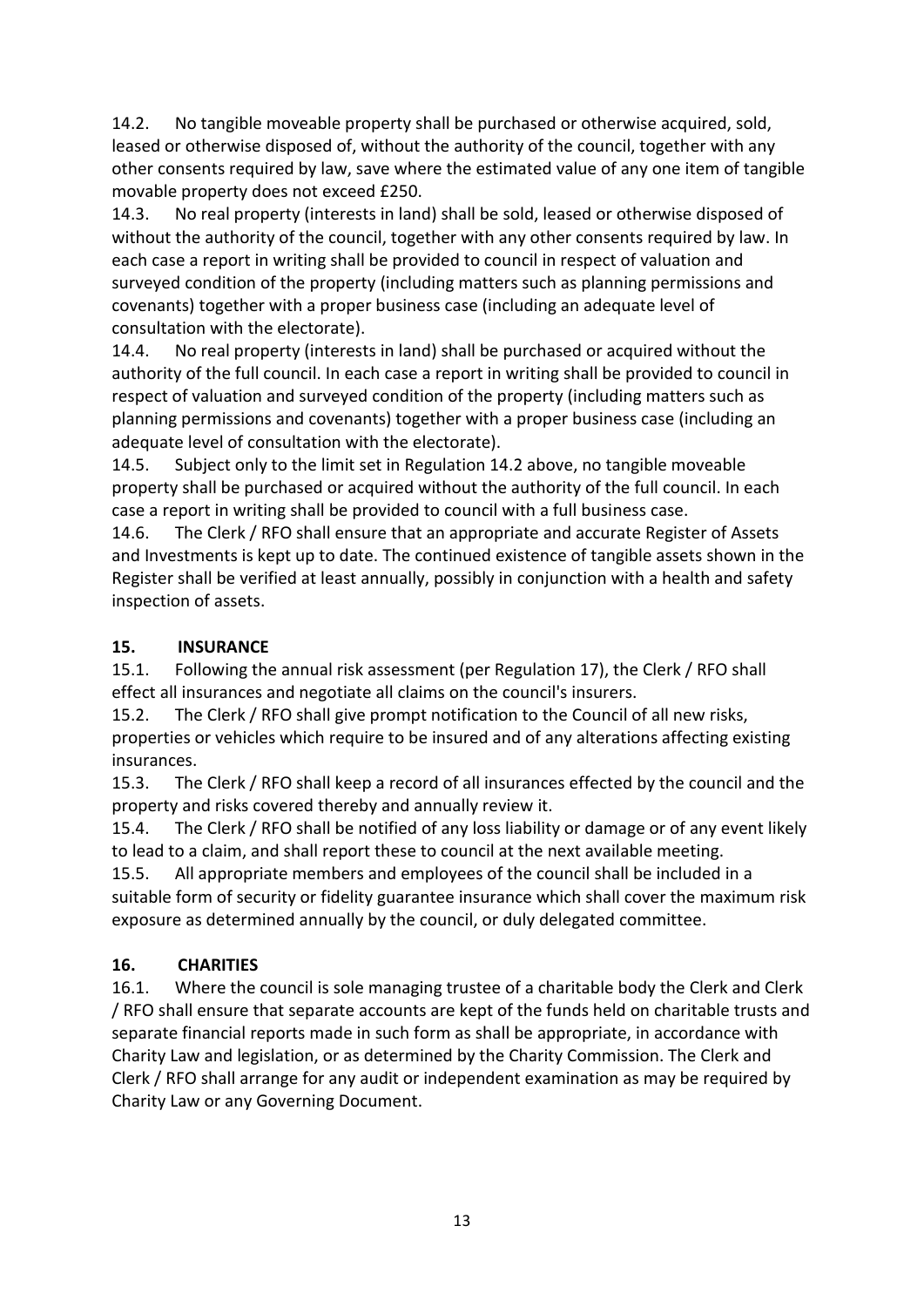14.2. No tangible moveable property shall be purchased or otherwise acquired, sold, leased or otherwise disposed of, without the authority of the council, together with any other consents required by law, save where the estimated value of any one item of tangible movable property does not exceed £250.

14.3. No real property (interests in land) shall be sold, leased or otherwise disposed of without the authority of the council, together with any other consents required by law. In each case a report in writing shall be provided to council in respect of valuation and surveyed condition of the property (including matters such as planning permissions and covenants) together with a proper business case (including an adequate level of consultation with the electorate).

14.4. No real property (interests in land) shall be purchased or acquired without the authority of the full council. In each case a report in writing shall be provided to council in respect of valuation and surveyed condition of the property (including matters such as planning permissions and covenants) together with a proper business case (including an adequate level of consultation with the electorate).

14.5. Subject only to the limit set in Regulation 14.2 above, no tangible moveable property shall be purchased or acquired without the authority of the full council. In each case a report in writing shall be provided to council with a full business case.

14.6. The Clerk / RFO shall ensure that an appropriate and accurate Register of Assets and Investments is kept up to date. The continued existence of tangible assets shown in the Register shall be verified at least annually, possibly in conjunction with a health and safety inspection of assets.

#### **15. INSURANCE**

15.1. Following the annual risk assessment (per Regulation 17), the Clerk / RFO shall effect all insurances and negotiate all claims on the council's insurers.

15.2. The Clerk / RFO shall give prompt notification to the Council of all new risks, properties or vehicles which require to be insured and of any alterations affecting existing insurances.

15.3. The Clerk / RFO shall keep a record of all insurances effected by the council and the property and risks covered thereby and annually review it.

15.4. The Clerk / RFO shall be notified of any loss liability or damage or of any event likely to lead to a claim, and shall report these to council at the next available meeting.

15.5. All appropriate members and employees of the council shall be included in a suitable form of security or fidelity guarantee insurance which shall cover the maximum risk exposure as determined annually by the council, or duly delegated committee.

# **16. CHARITIES**

16.1. Where the council is sole managing trustee of a charitable body the Clerk and Clerk / RFO shall ensure that separate accounts are kept of the funds held on charitable trusts and separate financial reports made in such form as shall be appropriate, in accordance with Charity Law and legislation, or as determined by the Charity Commission. The Clerk and Clerk / RFO shall arrange for any audit or independent examination as may be required by Charity Law or any Governing Document.